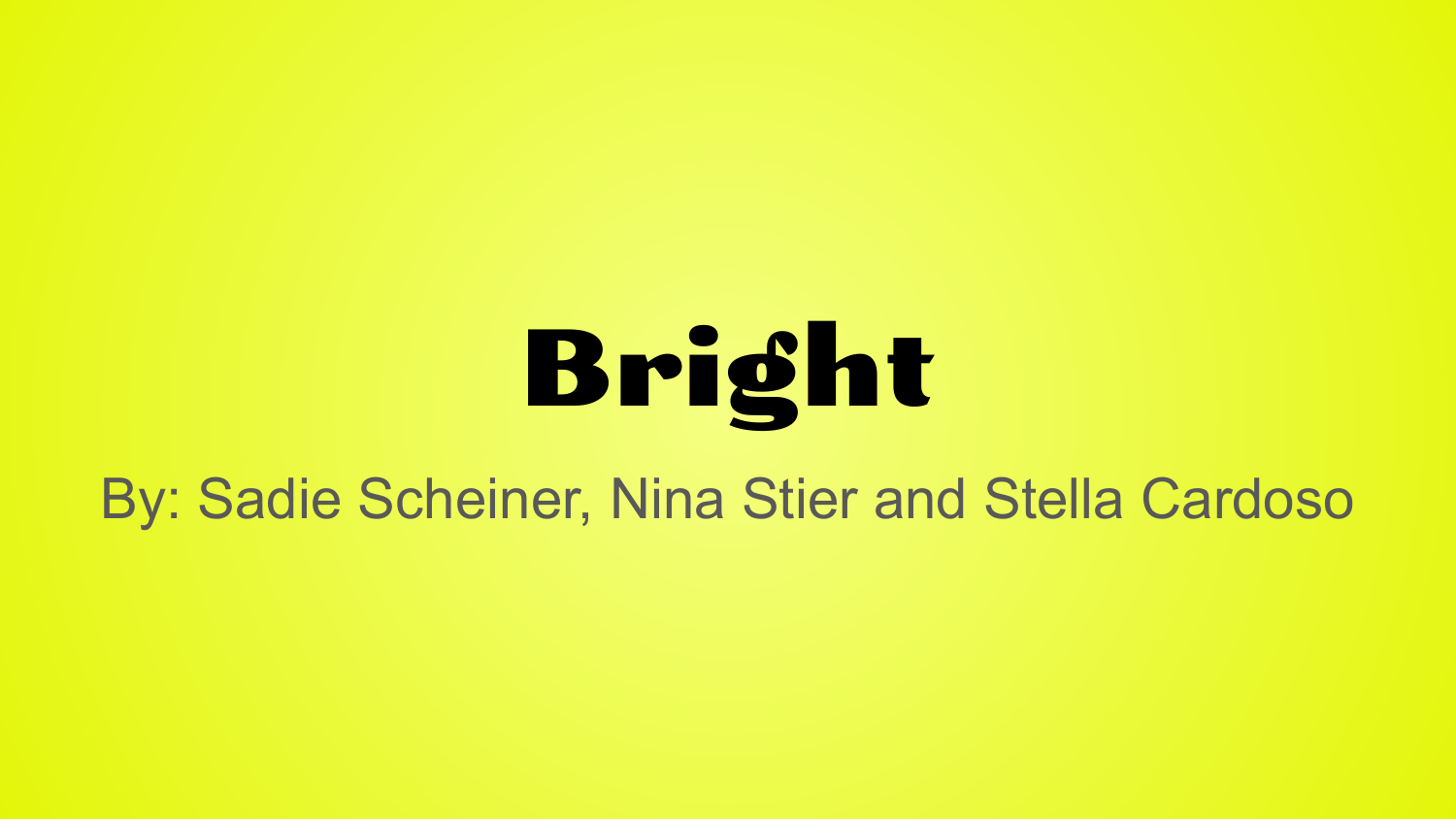# Bright

By: Sadie Scheiner, Nina Stier and Stella Cardoso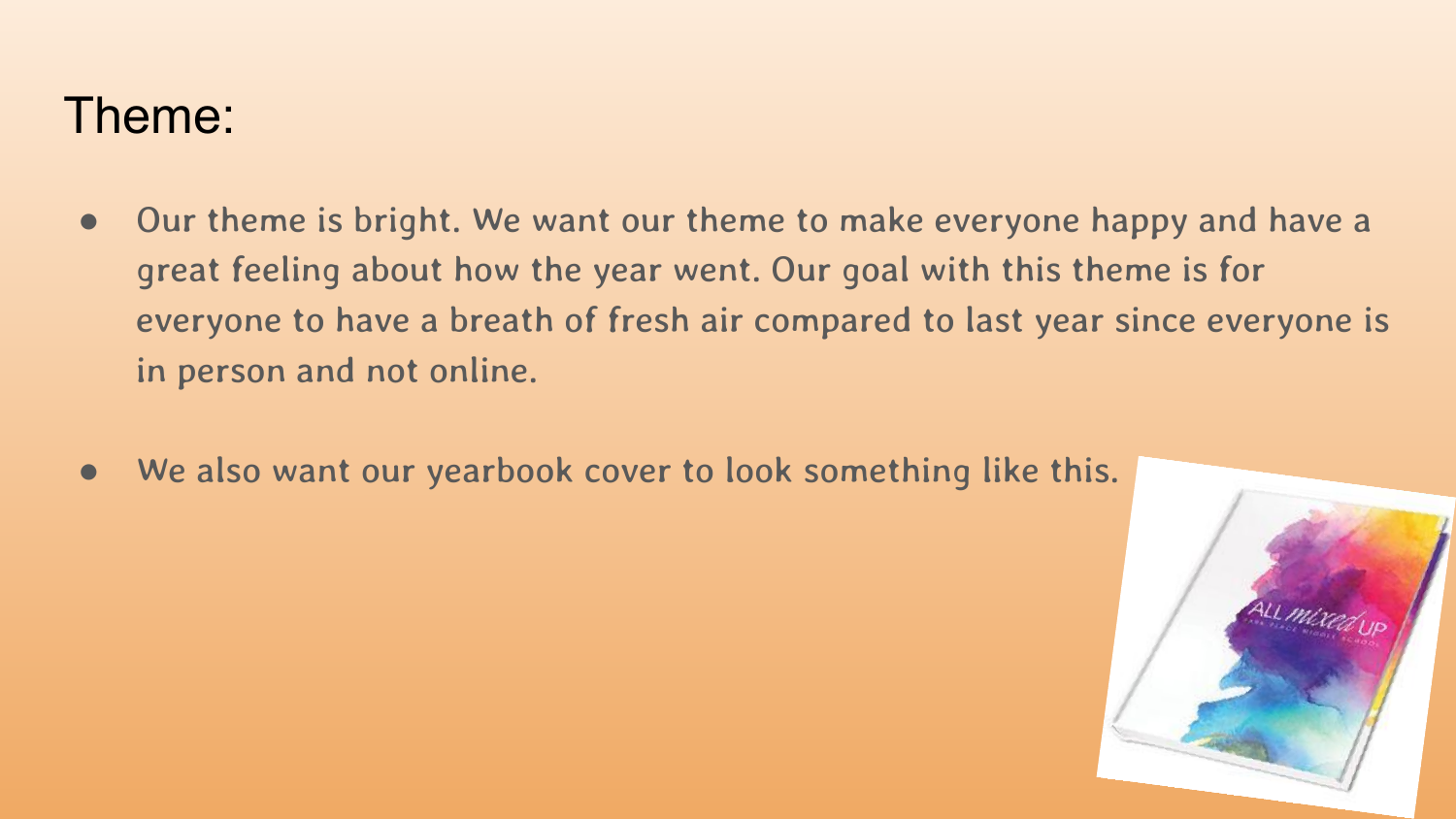#### Theme:

- Our theme is bright. We want our theme to make everyone happy and have a great feeling about how the year went. Our goal with this theme is for everyone to have a breath of fresh air compared to last year since everyone is in person and not online.
- We also want our yearbook cover to look something like this.

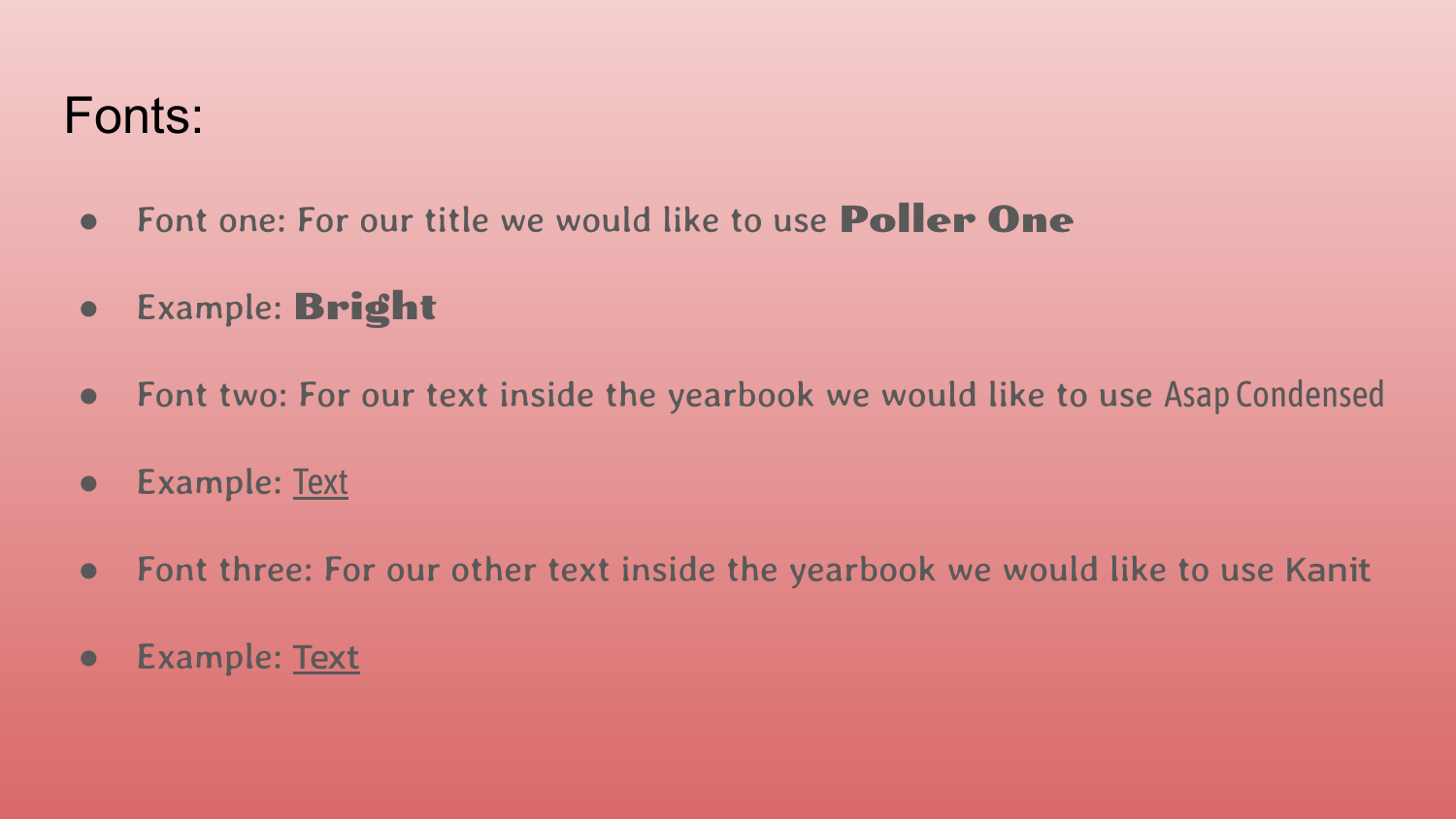### Fonts:

- Font one: For our title we would like to use Poller One
- Example: Bright
- Font two: For our text inside the yearbook we would like to use Asap Condensed
- Example: Text
- Font three: For our other text inside the yearbook we would like to use Kanit
- Example: Text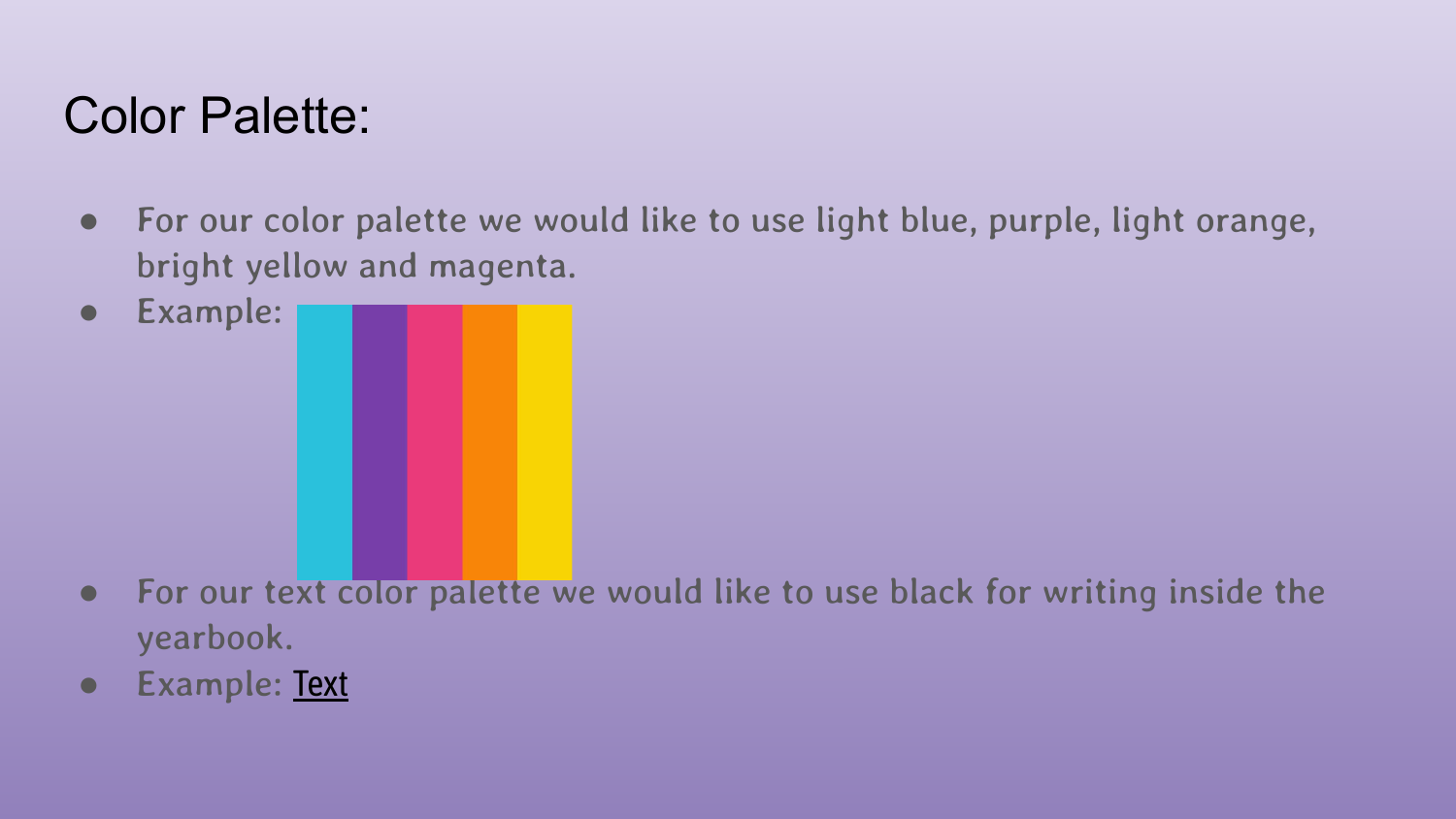## Color Palette:

- For our color palette we would like to use light blue, purple, light orange, bright yellow and magenta.
- Example:
- For our text color palette we would like to use black for writing inside the yearbook.
- Example: Text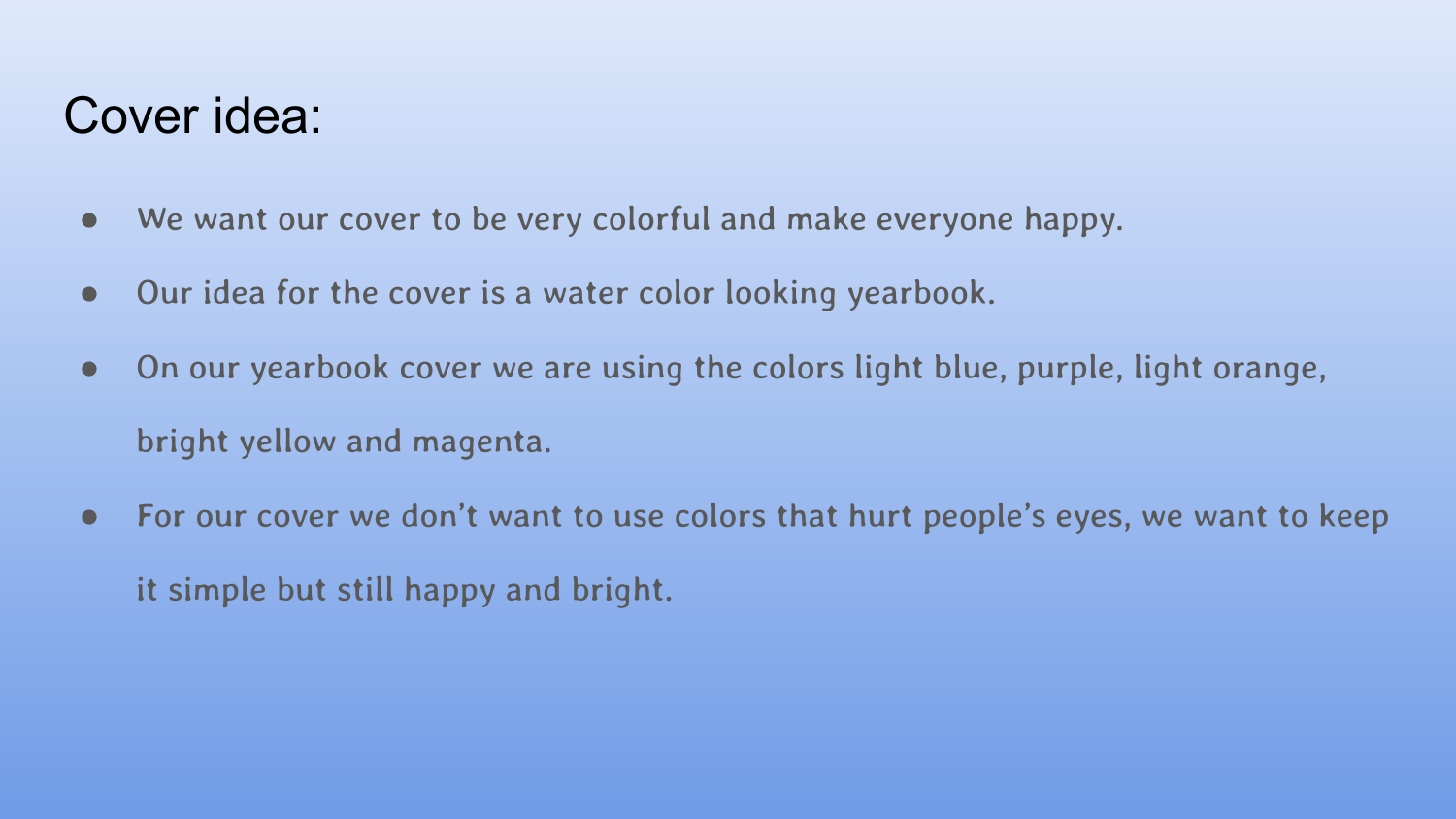#### Cover idea:

- We want our cover to be very colorful and make everyone happy.
- Our idea for the cover is a water color looking yearbook.
- On our yearbook cover we are using the colors light blue, purple, light orange, bright yellow and magenta.
- For our cover we don't want to use colors that hurt people's eyes, we want to keep it simple but still happy and bright.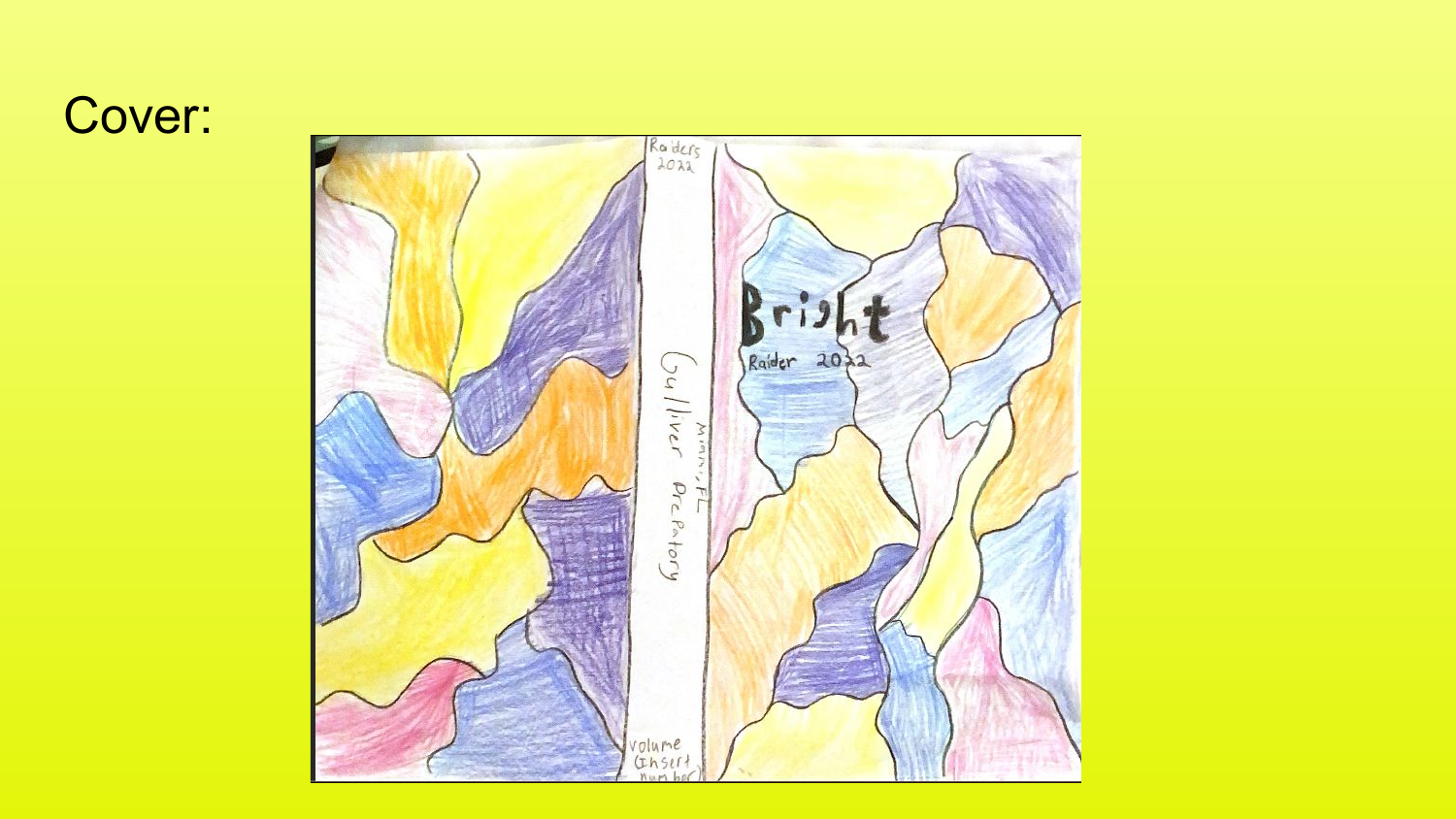## Cover: